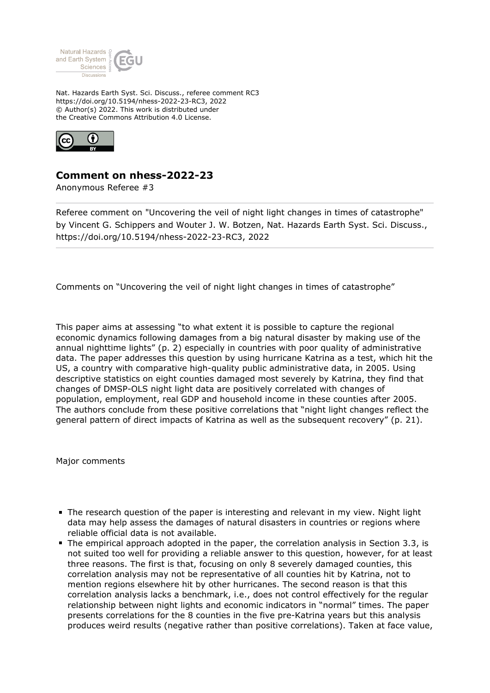

Nat. Hazards Earth Syst. Sci. Discuss., referee comment RC3 https://doi.org/10.5194/nhess-2022-23-RC3, 2022 © Author(s) 2022. This work is distributed under the Creative Commons Attribution 4.0 License.



## **Comment on nhess-2022-23**

Anonymous Referee #3

Referee comment on "Uncovering the veil of night light changes in times of catastrophe" by Vincent G. Schippers and Wouter J. W. Botzen, Nat. Hazards Earth Syst. Sci. Discuss., https://doi.org/10.5194/nhess-2022-23-RC3, 2022

Comments on "Uncovering the veil of night light changes in times of catastrophe"

This paper aims at assessing "to what extent it is possible to capture the regional economic dynamics following damages from a big natural disaster by making use of the annual nighttime lights" (p. 2) especially in countries with poor quality of administrative data. The paper addresses this question by using hurricane Katrina as a test, which hit the US, a country with comparative high-quality public administrative data, in 2005. Using descriptive statistics on eight counties damaged most severely by Katrina, they find that changes of DMSP-OLS night light data are positively correlated with changes of population, employment, real GDP and household income in these counties after 2005. The authors conclude from these positive correlations that "night light changes reflect the general pattern of direct impacts of Katrina as well as the subsequent recovery" (p. 21).

Major comments

- The research question of the paper is interesting and relevant in my view. Night light data may help assess the damages of natural disasters in countries or regions where reliable official data is not available.
- The empirical approach adopted in the paper, the correlation analysis in Section 3.3, is not suited too well for providing a reliable answer to this question, however, for at least three reasons. The first is that, focusing on only 8 severely damaged counties, this correlation analysis may not be representative of all counties hit by Katrina, not to mention regions elsewhere hit by other hurricanes. The second reason is that this correlation analysis lacks a benchmark, i.e., does not control effectively for the regular relationship between night lights and economic indicators in "normal" times. The paper presents correlations for the 8 counties in the five pre-Katrina years but this analysis produces weird results (negative rather than positive correlations). Taken at face value,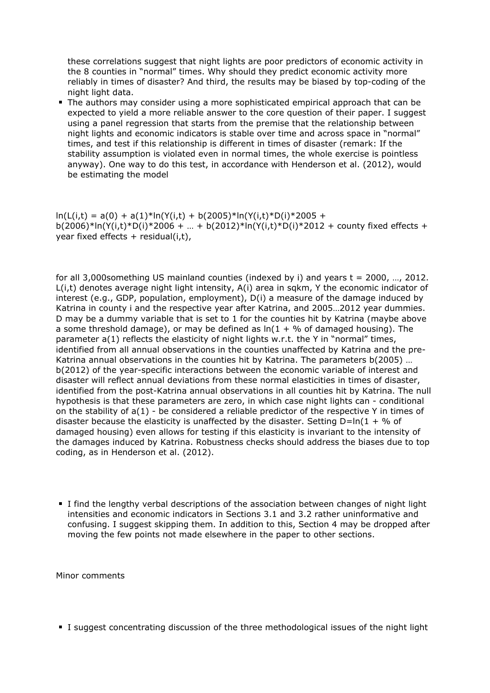these correlations suggest that night lights are poor predictors of economic activity in the 8 counties in "normal" times. Why should they predict economic activity more reliably in times of disaster? And third, the results may be biased by top-coding of the night light data.

The authors may consider using a more sophisticated empirical approach that can be expected to yield a more reliable answer to the core question of their paper. I suggest using a panel regression that starts from the premise that the relationship between night lights and economic indicators is stable over time and across space in "normal" times, and test if this relationship is different in times of disaster (remark: If the stability assumption is violated even in normal times, the whole exercise is pointless anyway). One way to do this test, in accordance with Henderson et al. (2012), would be estimating the model

 $ln(L(i,t) = a(0) + a(1)^*ln(Y(i,t) + b(2005)^*ln(Y(i,t)^*D(i)^*2005 +$ b(2006)\*ln(Y(i,t)\*D(i)\*2006 + ... + b(2012)\*ln(Y(i,t)\*D(i)\*2012 + county fixed effects + year fixed effects  $+$  residual(i,t),

for all 3,000 something US mainland counties (indexed by i) and years  $t = 2000$ , ..., 2012. L(i,t) denotes average night light intensity, A(i) area in sqkm, Y the economic indicator of interest (e.g., GDP, population, employment), D(i) a measure of the damage induced by Katrina in county i and the respective year after Katrina, and 2005…2012 year dummies. D may be a dummy variable that is set to 1 for the counties hit by Katrina (maybe above a some threshold damage), or may be defined as  $ln(1 + %)$  of damaged housing). The parameter  $a(1)$  reflects the elasticity of night lights w.r.t. the Y in "normal" times, identified from all annual observations in the counties unaffected by Katrina and the pre-Katrina annual observations in the counties hit by Katrina. The parameters b(2005) … b(2012) of the year-specific interactions between the economic variable of interest and disaster will reflect annual deviations from these normal elasticities in times of disaster, identified from the post-Katrina annual observations in all counties hit by Katrina. The null hypothesis is that these parameters are zero, in which case night lights can - conditional on the stability of a(1) - be considered a reliable predictor of the respective Y in times of disaster because the elasticity is unaffected by the disaster. Setting  $D=ln(1 + % 0.05)$ damaged housing) even allows for testing if this elasticity is invariant to the intensity of the damages induced by Katrina. Robustness checks should address the biases due to top coding, as in Henderson et al. (2012).

I find the lengthy verbal descriptions of the association between changes of night light intensities and economic indicators in Sections 3.1 and 3.2 rather uninformative and confusing. I suggest skipping them. In addition to this, Section 4 may be dropped after moving the few points not made elsewhere in the paper to other sections.

Minor comments

I suggest concentrating discussion of the three methodological issues of the night light